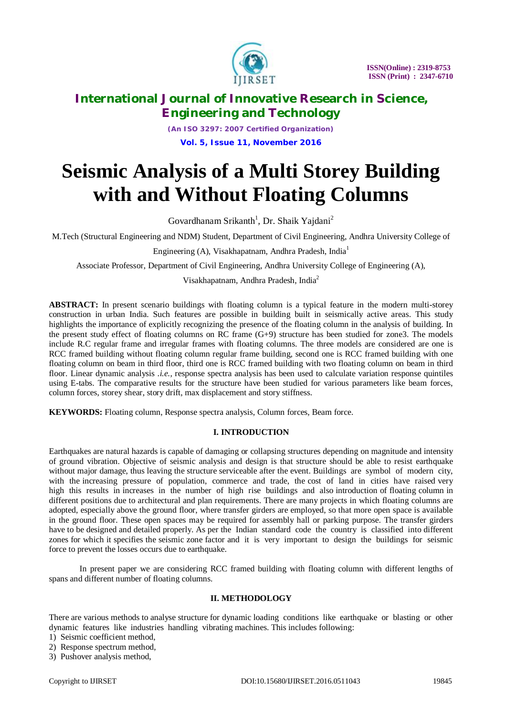

*(An ISO 3297: 2007 Certified Organization)* **Vol. 5, Issue 11, November 2016**

# **Seismic Analysis of a Multi Storey Building with and Without Floating Columns**

Govardhanam Srikanth<sup>1</sup>, Dr. Shaik Yajdani<sup>2</sup>

M.Tech (Structural Engineering and NDM) Student, Department of Civil Engineering, Andhra University College of

Engineering (A), Visakhapatnam, Andhra Pradesh, India<sup>1</sup>

Associate Professor, Department of Civil Engineering, Andhra University College of Engineering (A),

Visakhapatnam, Andhra Pradesh, India<sup>2</sup>

**ABSTRACT:** In present scenario buildings with floating column is a typical feature in the modern multi-storey construction in urban India. Such features are possible in building built in seismically active areas. This study highlights the importance of explicitly recognizing the presence of the floating column in the analysis of building. In the present study effect of floating columns on RC frame (G+9) structure has been studied for zone3. The models include R.C regular frame and irregular frames with floating columns. The three models are considered are one is RCC framed building without floating column regular frame building, second one is RCC framed building with one floating column on beam in third floor, third one is RCC framed building with two floating column on beam in third floor. Linear dynamic analysis *.i.e.,* response spectra analysis has been used to calculate variation response quintiles using E-tabs. The comparative results for the structure have been studied for various parameters like beam forces, column forces, storey shear, story drift, max displacement and story stiffness.

**KEYWORDS:** Floating column, Response spectra analysis, Column forces, Beam force.

#### **I. INTRODUCTION**

Earthquakes are natural hazards is capable of damaging or collapsing structures depending on magnitude and intensity of ground vibration. Objective of seismic analysis and design is that structure should be able to resist earthquake without major damage, thus leaving the structure serviceable after the event. Buildings are symbol of modern city, with the increasing pressure of population, commerce and trade, the cost of land in cities have raised very high this results in increases in the number of high rise buildings and also introduction of floating column in different positions due to architectural and plan requirements. There are many projects in which floating columns are adopted, especially above the ground floor, where transfer girders are employed, so that more open space is available in the ground floor. These open spaces may be required for assembly hall or parking purpose. The transfer girders have to be designed and detailed properly. As per the Indian standard code the country is classified into different zones for which it specifies the seismic zone factor and it is very important to design the buildings for seismic force to prevent the losses occurs due to earthquake.

In present paper we are considering RCC framed building with floating column with different lengths of spans and different number of floating columns.

#### **II. METHODOLOGY**

There are various methods to analyse structure for dynamic loading conditions like earthquake or blasting or other dynamic features like industries handling vibrating machines. This includes following:

- 1) Seismic coefficient method,
- 2) Response spectrum method,
- 3) Pushover analysis method,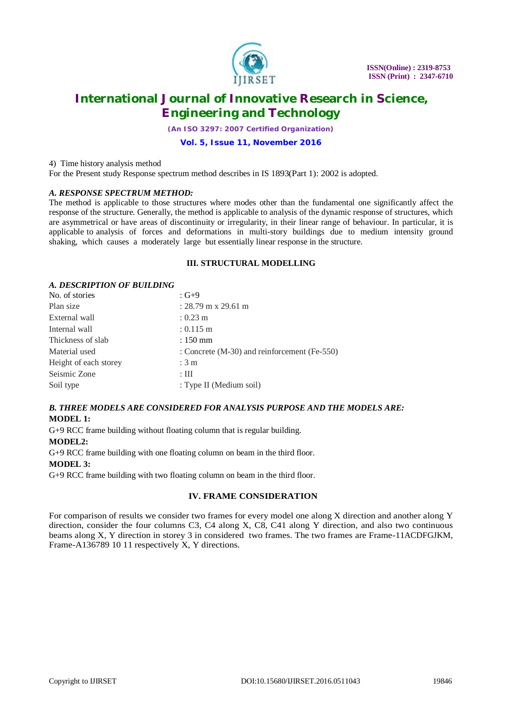

*(An ISO 3297: 2007 Certified Organization)*

#### **Vol. 5, Issue 11, November 2016**

4) Time history analysis method

For the Present study Response spectrum method describes in IS 1893(Part 1): 2002 is adopted.

#### *A. RESPONSE SPECTRUM METHOD:*

The method is applicable to those structures where modes other than the fundamental one significantly affect the response of the structure. Generally, the method is applicable to analysis of the dynamic response of structures, which are asymmetrical or have areas of discontinuity or irregularity, in their linear range of behaviour. In particular, it is applicable to analysis of forces and deformations in multi-story buildings due to medium intensity ground shaking, which causes a moderately large but essentially linear response in the structure.

#### **III. STRUCTURAL MODELLING**

### *A. DESCRIPTION OF BUILDING*<br>No. of stories  $G+9$ No. of stories  $P$ lan size : 28.79 m x 20.61 m

| . 20. 17 III A 27.01 III                     |
|----------------------------------------------|
| $: 0.23 \text{ m}$                           |
| $: 0.115 \text{ m}$                          |
| $: 150$ mm                                   |
| : Concrete (M-30) and reinforcement (Fe-550) |
| : 3m                                         |
| $: \mathbf{III}$                             |
| : Type II (Medium soil)                      |
|                                              |

### *B. THREE MODELS ARE CONSIDERED FOR ANALYSIS PURPOSE AND THE MODELS ARE:* **MODEL 1:**

G+9 RCC frame building without floating column that is regular building.

**MODEL2:**

G+9 RCC frame building with one floating column on beam in the third floor. **MODEL 3:**

G+9 RCC frame building with two floating column on beam in the third floor.

#### **IV. FRAME CONSIDERATION**

For comparison of results we consider two frames for every model one along X direction and another along Y direction, consider the four columns C3, C4 along X, C8, C41 along Y direction, and also two continuous beams along X, Y direction in storey 3 in considered two frames. The two frames are Frame-11ACDFGJKM, Frame-A136789 10 11 respectively X, Y directions.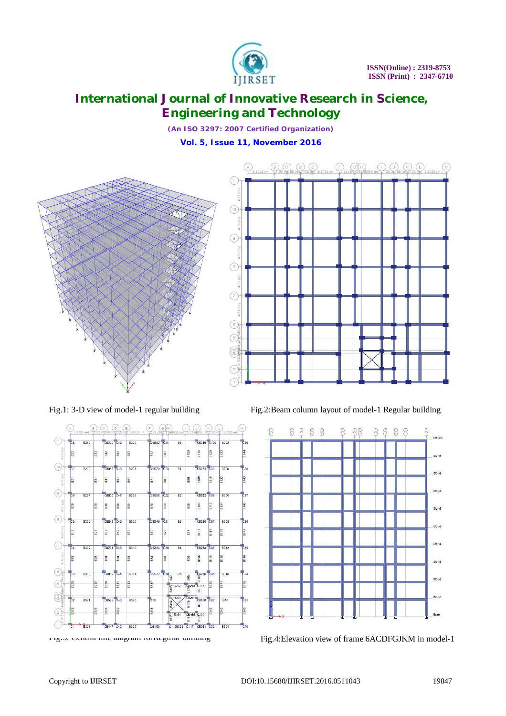

*(An ISO 3297: 2007 Certified Organization)*

**Vol. 5, Issue 11, November 2016**





Fig.1: 3-D view of model-1 regular building Fig.2:Beam column layout of model-1 Regular building



Fig.3. Central line diagram for regular building Fig.4:Elevation view of frame 6ACDFGJKM in model-1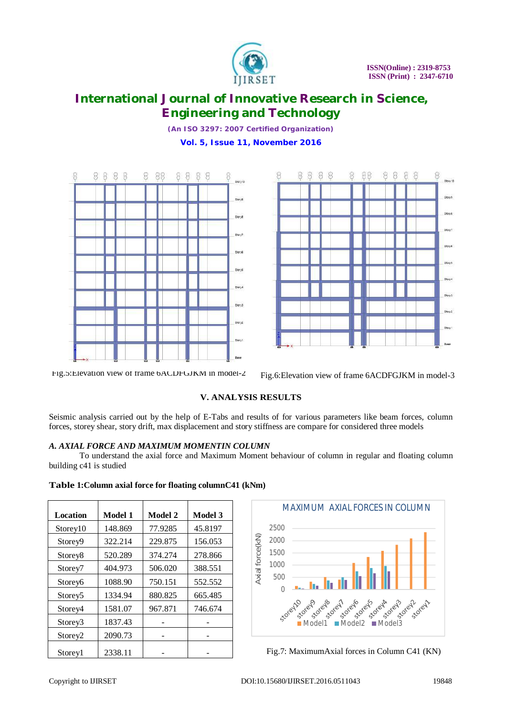

*(An ISO 3297: 2007 Certified Organization)* **Vol. 5, Issue 11, November 2016**





Fig.5:Elevation view of frame 6ACDFGJKM in model-2 Fig.6:Elevation view of frame 6ACDFGJKM in model-3

### **V. ANALYSIS RESULTS**

Seismic analysis carried out by the help of E-Tabs and results of for various parameters like beam forces, column forces, storey shear, story drift, max displacement and story stiffness are compare for considered three models

#### *A. AXIAL FORCE AND MAXIMUM MOMENTIN COLUMN*

**Table 1:Column axial force for floating columnC41 (kNm)**

To understand the axial force and Maximum Moment behaviour of column in regular and floating column building c41 is studied

| Location            | Model 1 | <b>Model 2</b> | <b>Model 3</b> |
|---------------------|---------|----------------|----------------|
| Storey10            | 148.869 | 77.9285        | 45.8197        |
| Store <sub>v9</sub> | 322.214 | 229.875        | 156.053        |
| Storey <sup>8</sup> | 520.289 | 374.274        | 278.866        |
| Storey7             | 404.973 | 506.020        | 388.551        |
| Storey <sub>6</sub> | 1088.90 | 750.151        | 552.552        |
| Storey <sub>5</sub> | 1334.94 | 880.825        | 665.485        |
| Store <sub>v4</sub> | 1581.07 | 967.871        | 746.674        |
| Storey3             | 1837.43 |                |                |
| Storey2             | 2090.73 |                |                |
| Storey1             | 2338.11 |                |                |





Fig.7: MaximumAxial forces in Column C41 (KN)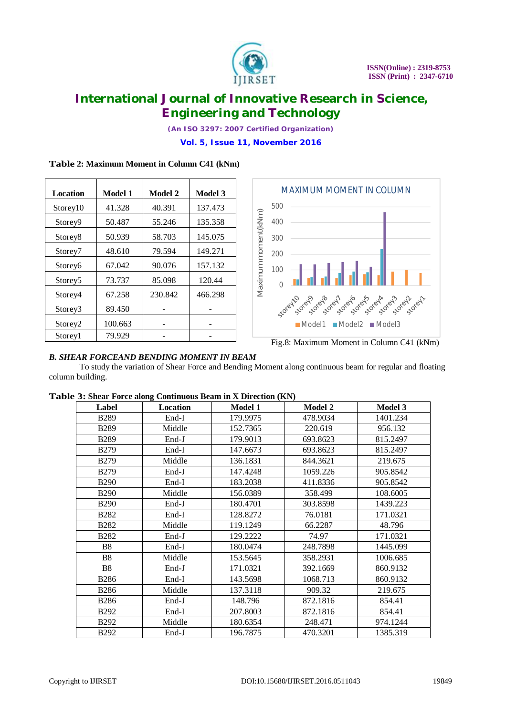

*(An ISO 3297: 2007 Certified Organization)*

**Vol. 5, Issue 11, November 2016**

### **Table 2: Maximum Moment in Column C41 (kNm)**

| <b>Location</b>     | Model 1 | Model 2 | Model 3 |
|---------------------|---------|---------|---------|
| Storey10            | 41.328  | 40.391  | 137.473 |
| Storey9             | 50.487  | 55.246  | 135.358 |
| Storey <sup>8</sup> | 50.939  | 58.703  | 145.075 |
| Storey7             | 48.610  | 79.594  | 149.271 |
| Storey6             | 67.042  | 90.076  | 157.132 |
| Storey <sub>5</sub> | 73.737  | 85.098  | 120.44  |
| Storey4             | 67.258  | 230.842 | 466.298 |
| Storey3             | 89.450  |         |         |
| Storey2             | 100.663 |         |         |
| Storey1             | 79.929  |         |         |



Fig.8: Maximum Moment in Column C41 (kNm)

#### *B. SHEAR FORCEAND BENDING MOMENT IN BEAM*

To study the variation of Shear Force and Bending Moment along continuous beam for regular and floating column building.

| Label          | Location | <b>Model 1</b> | <b>Model 2</b> | <b>Model 3</b> |
|----------------|----------|----------------|----------------|----------------|
| <b>B289</b>    | End-I    | 179.9975       | 478.9034       | 1401.234       |
| <b>B289</b>    | Middle   | 152.7365       | 220.619        | 956.132        |
| <b>B289</b>    | End-J    | 179.9013       | 693.8623       | 815.2497       |
| <b>B279</b>    | End-I    | 147.6673       | 693.8623       | 815.2497       |
| <b>B279</b>    | Middle   | 136.1831       | 844.3621       | 219.675        |
| <b>B279</b>    | End-J    | 147.4248       | 1059.226       | 905.8542       |
| <b>B290</b>    | End-I    | 183.2038       | 411.8336       | 905.8542       |
| <b>B290</b>    | Middle   | 156.0389       | 358.499        | 108.6005       |
| <b>B290</b>    | $End-J$  | 180.4701       | 303.8598       | 1439.223       |
| <b>B282</b>    | End-I    | 128.8272       | 76.0181        | 171.0321       |
| <b>B282</b>    | Middle   | 119.1249       | 66.2287        | 48.796         |
| <b>B282</b>    | $End-J$  | 129.2222       | 74.97          | 171.0321       |
| B <sub>8</sub> | End-I    | 180.0474       | 248.7898       | 1445.099       |
| B <sub>8</sub> | Middle   | 153.5645       | 358.2931       | 1006.685       |
| <b>B8</b>      | End-J    | 171.0321       | 392.1669       | 860.9132       |
| <b>B286</b>    | End-I    | 143.5698       | 1068.713       | 860.9132       |
| <b>B286</b>    | Middle   | 137.3118       | 909.32         | 219.675        |
| <b>B286</b>    | $End-J$  | 148.796        | 872.1816       | 854.41         |
| <b>B292</b>    | End-I    | 207.8003       | 872.1816       | 854.41         |
| <b>B292</b>    | Middle   | 180.6354       | 248.471        | 974.1244       |
| <b>B292</b>    | End-J    | 196.7875       | 470.3201       | 1385.319       |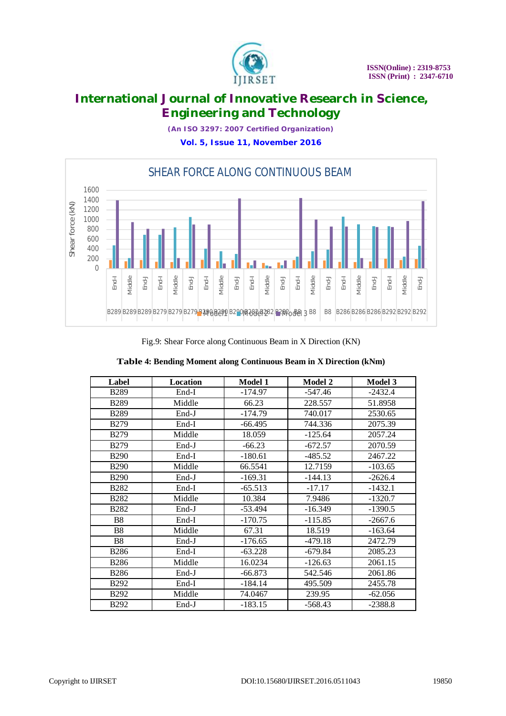

*(An ISO 3297: 2007 Certified Organization)*

**Vol. 5, Issue 11, November 2016**



Fig.9: Shear Force along Continuous Beam in X Direction (KN)

| Label          | Location | Model 1   | <b>Model 2</b> | Model 3   |
|----------------|----------|-----------|----------------|-----------|
| <b>B289</b>    | End-I    | $-174.97$ | $-547.46$      | $-2432.4$ |
| <b>B289</b>    | Middle   | 66.23     | 228.557        | 51.8958   |
| <b>B289</b>    | End-J    | $-174.79$ | 740.017        | 2530.65   |
| <b>B279</b>    | End-I    | $-66.495$ | 744.336        | 2075.39   |
| <b>B279</b>    | Middle   | 18.059    | $-125.64$      | 2057.24   |
| <b>B279</b>    | End-J    | $-66.23$  | $-672.57$      | 2070.59   |
| <b>B290</b>    | End-I    | $-180.61$ | -485.52        | 2467.22   |
| <b>B290</b>    | Middle   | 66.5541   | 12.7159        | $-103.65$ |
| <b>B290</b>    | $End-J$  | $-169.31$ | $-144.13$      | $-2626.4$ |
| <b>B282</b>    | End-I    | $-65.513$ | $-17.17$       | $-1432.1$ |
| <b>B282</b>    | Middle   | 10.384    | 7.9486         | $-1320.7$ |
| <b>B282</b>    | $End-J$  | $-53.494$ | $-16.349$      | $-1390.5$ |
| B <sub>8</sub> | End-I    | $-170.75$ | $-115.85$      | $-2667.6$ |
| B <sub>8</sub> | Middle   | 67.31     | 18.519         | $-163.64$ |
| <b>B8</b>      | $End-J$  | $-176.65$ | $-479.18$      | 2472.79   |
| <b>B286</b>    | End-I    | $-63.228$ | $-679.84$      | 2085.23   |
| <b>B286</b>    | Middle   | 16.0234   | $-126.63$      | 2061.15   |
| <b>B286</b>    | $End-J$  | $-66.873$ | 542.546        | 2061.86   |
| <b>B292</b>    | $End-I$  | $-184.14$ | 495.509        | 2455.78   |
| <b>B292</b>    | Middle   | 74.0467   | 239.95         | $-62.056$ |
| <b>B292</b>    | End-J    | $-183.15$ | $-568.43$      | $-2388.8$ |

|  |  |  | Table 4: Bending Moment along Continuous Beam in X Direction (kNm) |  |
|--|--|--|--------------------------------------------------------------------|--|
|  |  |  |                                                                    |  |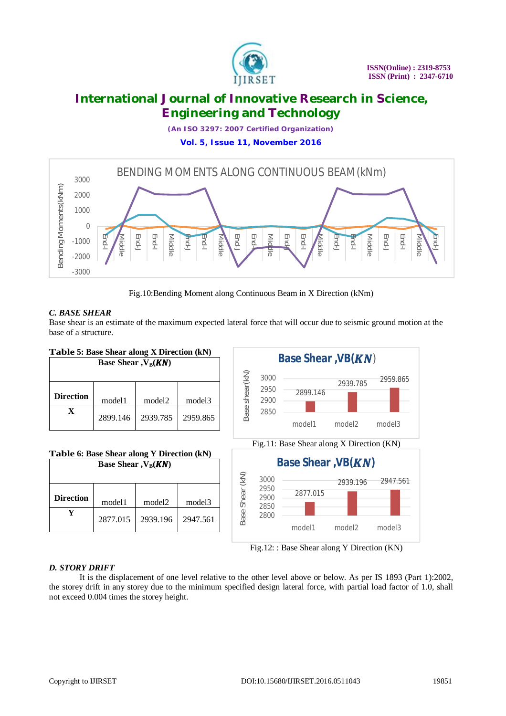

*(An ISO 3297: 2007 Certified Organization)*

**Vol. 5, Issue 11, November 2016**



Fig.10:Bending Moment along Continuous Beam in X Direction (kNm)

### *C. BASE SHEAR*

Base shear is an estimate of the maximum expected lateral force that will occur due to seismic ground motion at the base of a structure.



Fig.12: : Base Shear along Y Direction (KN)

### *D. STORY DRIFT*

It is the displacement of one level relative to the other level above or below. As per IS 1893 (Part 1):2002, the storey drift in any storey due to the minimum specified design lateral force, with partial load factor of 1.0, shall not exceed 0.004 times the storey height.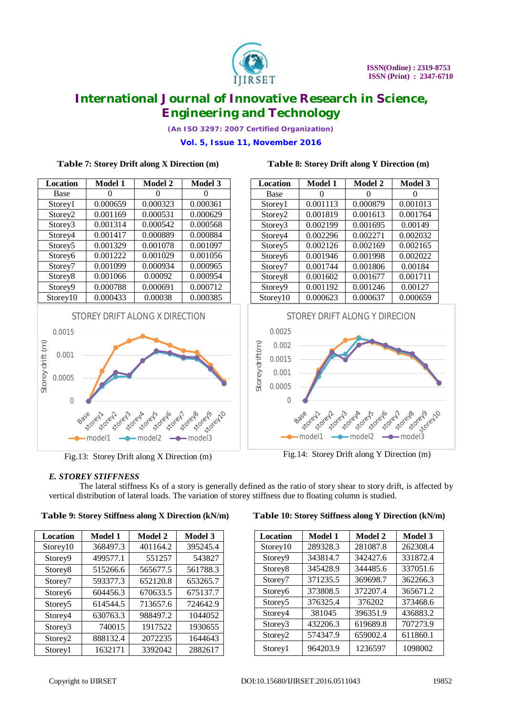

*(An ISO 3297: 2007 Certified Organization)*

**Vol. 5, Issue 11, November 2016**

### **Location Model 1 Model 2 Model 3** Base  $\begin{array}{|c|c|c|c|c|} \hline 0 & 0 & 0 \end{array}$  0 Storey1 0.000659 0.000323 0.000361 Storey2 0.001169 0.000531 0.000629 Storey3 0.001314 0.000542 0.000568 Storey4 0.001417 0.000889 0.000884 Storey5 0.001329 0.001078 0.001097 Storey6 0.001222 0.001029 0.001056 Storey7 0.001099 0.000934 0.000965 Storey8 | 0.001066 | 0.00092 | 0.000954 Storey9 0.000788 0.000691 0.000712 Storey10 0.000433 0.00038 0.000385 STOREY DRIFT ALONG X DIRECTION 0.0015 Storey drift (m) Storey drift (m) 0.001 0.0005

**Table 7: Storey Drift along X Direction (m)**

### **Location Model 1 Model 2 Model 3** Base  $\begin{array}{|c|c|c|c|c|} \hline 0 & 0 & 0 \\ \hline \end{array}$ Storey1 0.001113 0.000879 0.001013 Storey2 0.001819 0.001613 0.001764 Storey3 | 0.002199 | 0.001695 | 0.00149 Storey4 | 0.002296 | 0.002271 | 0.002032 Storey5 0.002126 0.002169 0.002165 Storey6 0.001946 0.001998 0.002022 Storey7 0.001744 0.001806 0.00184 Storey8 0.001602 0.001677 0.001711 Storey9 0.001192 0.001246 0.00127 Storey10 0.000623 0.000637 0.000659

**Table 8: Storey Drift along Y Direction (m)**



Fig.13: Storey Drift along X Direction (m) Fig.14: Storey Drift along Y Direction (m)

 $35^{\circ}$   $3^{\circ}$   $3^{\circ}$   $3^{\circ}$   $3^{\circ}$   $3^{\circ}$   $3^{\circ}$   $3^{\circ}$   $3^{\circ}$   $3^{\circ}$   $3^{\circ}$   $3^{\circ}$   $3^{\circ}$   $3^{\circ}$   $3^{\circ}$   $3^{\circ}$   $3^{\circ}$   $3^{\circ}$   $3^{\circ}$   $3^{\circ}$   $3^{\circ}$   $3^{\circ}$   $3^{\circ}$   $3^{\circ}$   $3^{\circ}$   $3^{\circ}$   $3^{\circ}$   $3^{\$ 

storeyo

#### *E. STOREY STIFFNESS*

ase clerk B350

0

The lateral stiffness Ks of a story is generally defined as the ratio of story shear to story drift, is affected by vertical distribution of lateral loads. The variation of storey stiffness due to floating column is studied.

|  |  |  |  |  | Table 9: Storey Stiffness along X Direction (kN/m) |  |  |
|--|--|--|--|--|----------------------------------------------------|--|--|
|--|--|--|--|--|----------------------------------------------------|--|--|

| Location            | <b>Model 1</b> | <b>Model 2</b> | <b>Model 3</b> |
|---------------------|----------------|----------------|----------------|
| Storey10            | 368497.3       | 401164.2       | 395245.4       |
| Storey9             | 499577.1       | 551257         | 543827         |
| Storey8             | 515266.6       | 565677.5       | 561788.3       |
| Storey7             | 593377.3       | 652120.8       | 653265.7       |
| Storey6             | 604456.3       | 670633.5       | 675137.7       |
| Storey <sub>5</sub> | 614544.5       | 713657.6       | 724642.9       |
| Storey4             | 630763.3       | 988497.2       | 1044052        |
| Storey3             | 740015         | 1917522        | 1930655        |
| Storey2             | 888132.4       | 2072235        | 1644643        |
| Storey1             | 1632171        | 3392042        | 2882617        |

#### **Table 10: Storey Stiffness along Y Direction (kN/m)**

| <b>Location</b>     | <b>Model 1</b> | <b>Model 2</b> | <b>Model 3</b> |
|---------------------|----------------|----------------|----------------|
| Storey10            | 289328.3       | 281087.8       | 262308.4       |
| Storey9             | 343814.7       | 342427.6       | 331872.4       |
| Storey8             | 345428.9       | 344485.6       | 337051.6       |
| Storey7             | 371235.5       | 369698.7       | 362266.3       |
| Storey6             | 373808.5       | 372207.4       | 365671.2       |
| Storey <sub>5</sub> | 376325.4       | 376202         | 373468.6       |
| Storey4             | 381045         | 396351.9       | 436883.2       |
| Storey3             | 432206.3       | 619689.8       | 707273.9       |
| Storey <sub>2</sub> | 574347.9       | 659002.4       | 611860.1       |
| Storey1             | 964203.9       | 1236597        | 1098002        |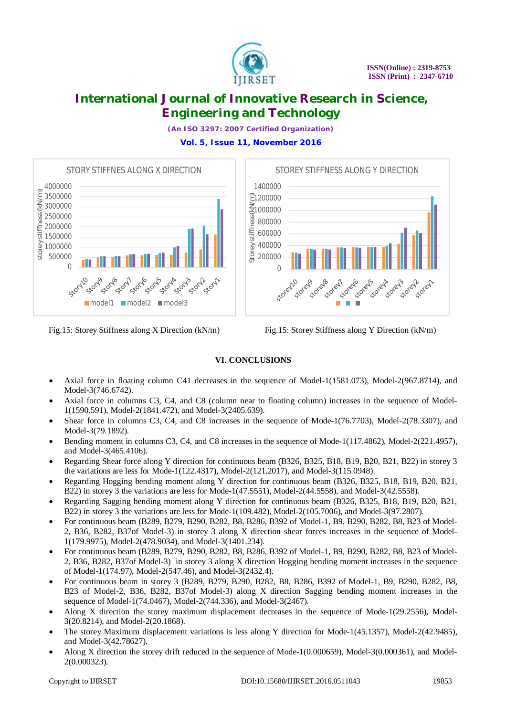

*(An ISO 3297: 2007 Certified Organization)*

**Vol. 5, Issue 11, November 2016**



Fig.15: Storey Stiffness along X Direction (kN/m) Fig.15: Storey Stiffness along Y Direction (kN/m)



#### **VI. CONCLUSIONS**

- Axial force in floating column C41 decreases in the sequence of Model-1(1581.073), Model-2(967.8714), and Model-3(746.6742).
- Axial force in columns C3, C4, and C8 (column near to floating column) increases in the sequence of Model-1(1590.591), Model-2(1841.472), and Model-3(2405.639).
- Shear force in columns C3, C4, and C8 increases in the sequence of Mode-1(76.7703), Model-2(78.3307), and Model-3(79.1892).
- Bending moment in columns C3, C4, and C8 increases in the sequence of Mode-1(117.4862), Model-2(221.4957), and Model-3(465.4106).
- Regarding Shear force along Y direction for continuous beam (B326, B325, B18, B19, B20, B21, B22) in storey 3 the variations are less for Mode-1(122.4317), Model-2(121.2017), and Model-3(115.0948).
- Regarding Hogging bending moment along Y direction for continuous beam (B326, B325, B18, B19, B20, B21, B22) in storey 3 the variations are less for Mode-1(47.5551), Model-2(44.5558), and Model-3(42.5558).
- Regarding Sagging bending moment along Y direction for continuous beam (B326, B325, B18, B19, B20, B21, B22) in storey 3 the variations are less for Mode-1(109.482), Model-2(105.7006), and Model-3(97.2807).
- For continuous beam (B289, B279, B290, B282, B8, B286, B392 of Model-1, B9, B290, B282, B8, B23 of Model-2, B36, B282, B37of Model-3) in storey 3 along X direction shear forces increases in the sequence of Model-1(179.9975), Model-2(478.9034), and Model-3(1401.234).
- For continuous beam (B289, B279, B290, B282, B8, B286, B392 of Model-1, B9, B290, B282, B8, B23 of Model-2, B36, B282, B37of Model-3) in storey 3 along X direction Hogging bending moment increases in the sequence of Model-1(174.97), Model-2(547.46), and Model-3(2432.4).
- For continuous beam in storey 3 (B289, B279, B290, B282, B8, B286, B392 of Model-1, B9, B290, B282, B8, B23 of Model-2, B36, B282, B37of Model-3) along X direction Sagging bending moment increases in the sequence of Model-1(74.0467), Model-2(744.336), and Model-3(2467).
- Along X direction the storey maximum displacement decreases in the sequence of Mode-1(29.2556), Model-3(20.8214), and Model-2(20.1868).
- The storey Maximum displacement variations is less along Y direction for Mode-1(45.1357), Model-2(42.9485), and Model-3(42.78627).
- Along X direction the storey drift reduced in the sequence of Mode-1(0.000659), Model-3(0.000361), and Model-2(0.000323).